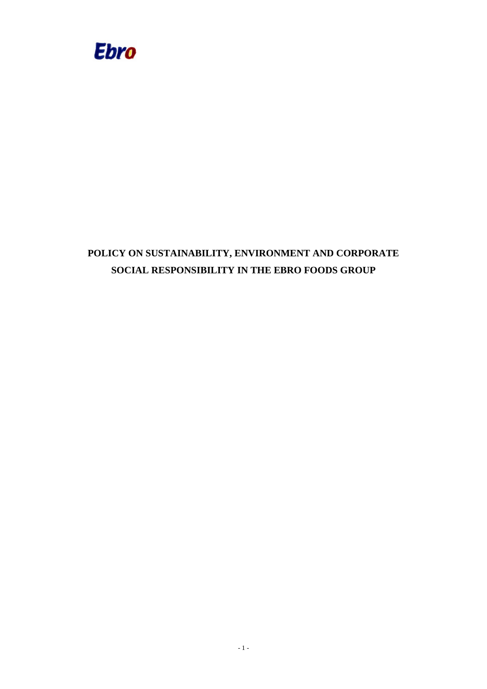

# **POLICY ON SUSTAINABILITY, ENVIRONMENT AND CORPORATE SOCIAL RESPONSIBILITY IN THE EBRO FOODS GROUP**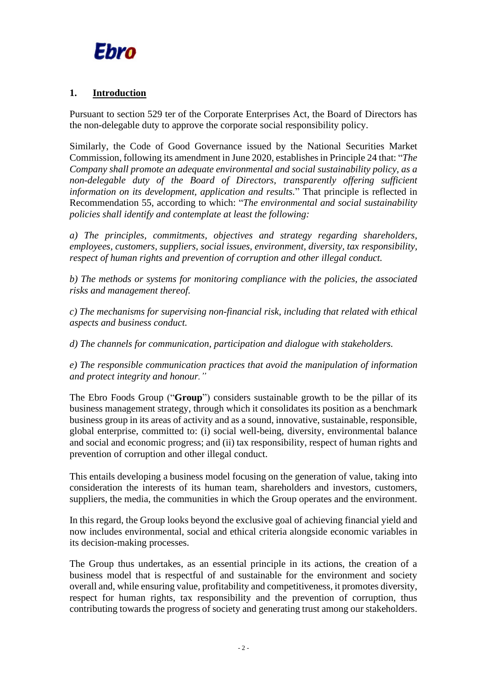

# **1. Introduction**

Pursuant to section 529 ter of the Corporate Enterprises Act, the Board of Directors has the non-delegable duty to approve the corporate social responsibility policy.

Similarly, the Code of Good Governance issued by the National Securities Market Commission, following its amendment in June 2020, establishes in Principle 24 that: "*The Company shall promote an adequate environmental and social sustainability policy, as a non-delegable duty of the Board of Directors, transparently offering sufficient information on its development, application and results.*" That principle is reflected in Recommendation 55, according to which: "*The environmental and social sustainability policies shall identify and contemplate at least the following:* 

*a) The principles, commitments, objectives and strategy regarding shareholders, employees, customers, suppliers, social issues, environment, diversity, tax responsibility, respect of human rights and prevention of corruption and other illegal conduct.*

*b) The methods or systems for monitoring compliance with the policies, the associated risks and management thereof.* 

*c) The mechanisms for supervising non-financial risk, including that related with ethical aspects and business conduct.* 

*d) The channels for communication, participation and dialogue with stakeholders.* 

*e) The responsible communication practices that avoid the manipulation of information and protect integrity and honour."* 

The Ebro Foods Group ("**Group**") considers sustainable growth to be the pillar of its business management strategy, through which it consolidates its position as a benchmark business group in its areas of activity and as a sound, innovative, sustainable, responsible, global enterprise, committed to: (i) social well-being, diversity, environmental balance and social and economic progress; and (ii) tax responsibility, respect of human rights and prevention of corruption and other illegal conduct.

This entails developing a business model focusing on the generation of value, taking into consideration the interests of its human team, shareholders and investors, customers, suppliers, the media, the communities in which the Group operates and the environment.

In this regard, the Group looks beyond the exclusive goal of achieving financial yield and now includes environmental, social and ethical criteria alongside economic variables in its decision-making processes.

The Group thus undertakes, as an essential principle in its actions, the creation of a business model that is respectful of and sustainable for the environment and society overall and, while ensuring value, profitability and competitiveness, it promotes diversity, respect for human rights, tax responsibility and the prevention of corruption, thus contributing towards the progress of society and generating trust among our stakeholders.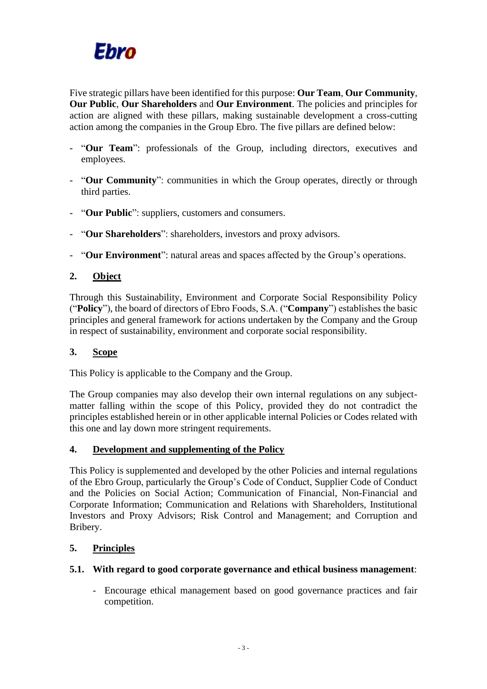

Five strategic pillars have been identified for this purpose: **Our Team**, **Our Community**, **Our Public**, **Our Shareholders** and **Our Environment**. The policies and principles for action are aligned with these pillars, making sustainable development a cross-cutting action among the companies in the Group Ebro. The five pillars are defined below:

- "**Our Team**": professionals of the Group, including directors, executives and employees.
- "**Our Community**": communities in which the Group operates, directly or through third parties.
- "**Our Public**": suppliers, customers and consumers.
- "**Our Shareholders**": shareholders, investors and proxy advisors.
- "**Our Environment**": natural areas and spaces affected by the Group's operations.

# **2. Object**

Through this Sustainability, Environment and Corporate Social Responsibility Policy ("**Policy**"), the board of directors of Ebro Foods, S.A. ("**Company**") establishes the basic principles and general framework for actions undertaken by the Company and the Group in respect of sustainability, environment and corporate social responsibility.

# **3. Scope**

This Policy is applicable to the Company and the Group.

The Group companies may also develop their own internal regulations on any subjectmatter falling within the scope of this Policy, provided they do not contradict the principles established herein or in other applicable internal Policies or Codes related with this one and lay down more stringent requirements.

# **4. Development and supplementing of the Policy**

This Policy is supplemented and developed by the other Policies and internal regulations of the Ebro Group, particularly the Group's Code of Conduct, Supplier Code of Conduct and the Policies on Social Action; Communication of Financial, Non-Financial and Corporate Information; Communication and Relations with Shareholders, Institutional Investors and Proxy Advisors; Risk Control and Management; and Corruption and Bribery.

# **5. Principles**

#### **5.1. With regard to good corporate governance and ethical business management**:

- Encourage ethical management based on good governance practices and fair competition.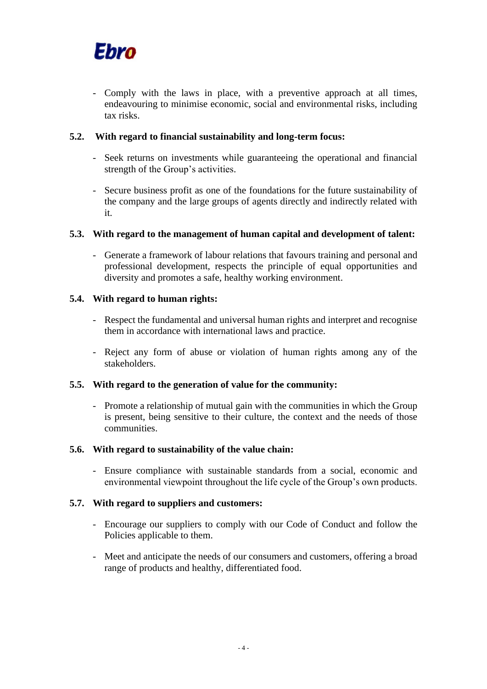

- Comply with the laws in place, with a preventive approach at all times, endeavouring to minimise economic, social and environmental risks, including tax risks.

# **5.2. With regard to financial sustainability and long-term focus:**

- Seek returns on investments while guaranteeing the operational and financial strength of the Group's activities.
- Secure business profit as one of the foundations for the future sustainability of the company and the large groups of agents directly and indirectly related with it.

# **5.3. With regard to the management of human capital and development of talent:**

- Generate a framework of labour relations that favours training and personal and professional development, respects the principle of equal opportunities and diversity and promotes a safe, healthy working environment.

# **5.4. With regard to human rights:**

- Respect the fundamental and universal human rights and interpret and recognise them in accordance with international laws and practice.
- Reject any form of abuse or violation of human rights among any of the stakeholders.

#### **5.5. With regard to the generation of value for the community:**

- Promote a relationship of mutual gain with the communities in which the Group is present, being sensitive to their culture, the context and the needs of those communities.

#### **5.6. With regard to sustainability of the value chain:**

- Ensure compliance with sustainable standards from a social, economic and environmental viewpoint throughout the life cycle of the Group's own products.

#### **5.7. With regard to suppliers and customers:**

- Encourage our suppliers to comply with our Code of Conduct and follow the Policies applicable to them.
- Meet and anticipate the needs of our consumers and customers, offering a broad range of products and healthy, differentiated food.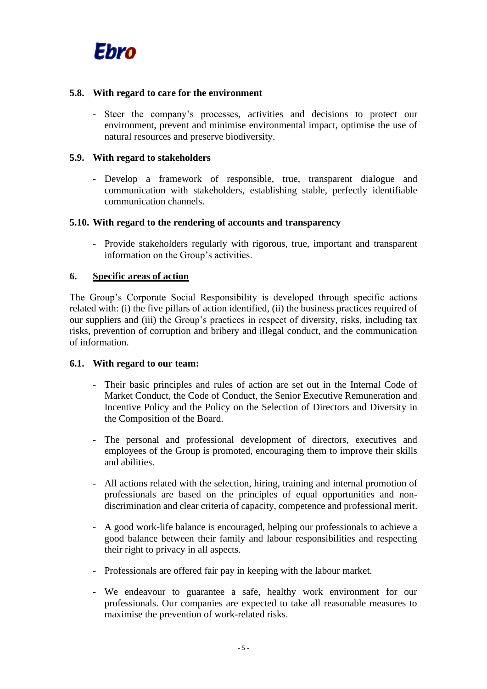

#### **5.8. With regard to care for the environment**

- Steer the company's processes, activities and decisions to protect our environment, prevent and minimise environmental impact, optimise the use of natural resources and preserve biodiversity.

#### **5.9. With regard to stakeholders**

- Develop a framework of responsible, true, transparent dialogue and communication with stakeholders, establishing stable, perfectly identifiable communication channels.

#### **5.10. With regard to the rendering of accounts and transparency**

- Provide stakeholders regularly with rigorous, true, important and transparent information on the Group's activities.

#### **6. Specific areas of action**

The Group's Corporate Social Responsibility is developed through specific actions related with: (i) the five pillars of action identified, (ii) the business practices required of our suppliers and (iii) the Group's practices in respect of diversity, risks, including tax risks, prevention of corruption and bribery and illegal conduct, and the communication of information.

#### **6.1. With regard to our team:**

- Their basic principles and rules of action are set out in the Internal Code of Market Conduct, the Code of Conduct, the Senior Executive Remuneration and Incentive Policy and the Policy on the Selection of Directors and Diversity in the Composition of the Board.
- The personal and professional development of directors, executives and employees of the Group is promoted, encouraging them to improve their skills and abilities.
- All actions related with the selection, hiring, training and internal promotion of professionals are based on the principles of equal opportunities and nondiscrimination and clear criteria of capacity, competence and professional merit.
- A good work-life balance is encouraged, helping our professionals to achieve a good balance between their family and labour responsibilities and respecting their right to privacy in all aspects.
- Professionals are offered fair pay in keeping with the labour market.
- We endeavour to guarantee a safe, healthy work environment for our professionals. Our companies are expected to take all reasonable measures to maximise the prevention of work-related risks.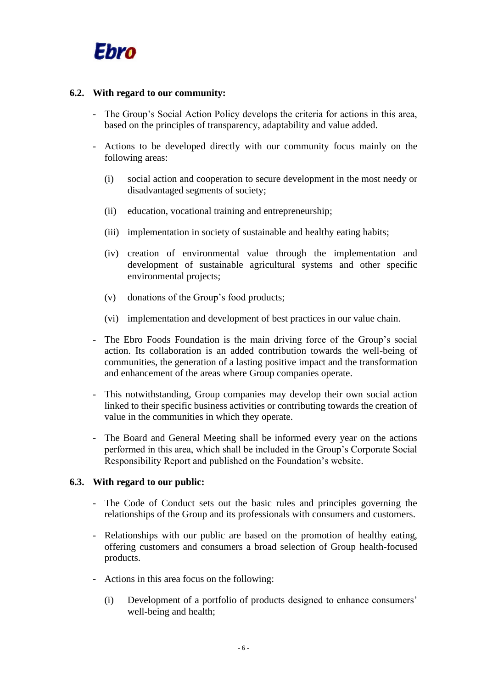

#### **6.2. With regard to our community:**

- The Group's Social Action Policy develops the criteria for actions in this area, based on the principles of transparency, adaptability and value added.
- Actions to be developed directly with our community focus mainly on the following areas:
	- (i) social action and cooperation to secure development in the most needy or disadvantaged segments of society;
	- (ii) education, vocational training and entrepreneurship;
	- (iii) implementation in society of sustainable and healthy eating habits;
	- (iv) creation of environmental value through the implementation and development of sustainable agricultural systems and other specific environmental projects;
	- (v) donations of the Group's food products;
	- (vi) implementation and development of best practices in our value chain.
- The Ebro Foods Foundation is the main driving force of the Group's social action. Its collaboration is an added contribution towards the well-being of communities, the generation of a lasting positive impact and the transformation and enhancement of the areas where Group companies operate.
- This notwithstanding, Group companies may develop their own social action linked to their specific business activities or contributing towards the creation of value in the communities in which they operate.
- The Board and General Meeting shall be informed every year on the actions performed in this area, which shall be included in the Group's Corporate Social Responsibility Report and published on the Foundation's website.

#### **6.3. With regard to our public:**

- The Code of Conduct sets out the basic rules and principles governing the relationships of the Group and its professionals with consumers and customers.
- Relationships with our public are based on the promotion of healthy eating, offering customers and consumers a broad selection of Group health-focused products.
- Actions in this area focus on the following:
	- (i) Development of a portfolio of products designed to enhance consumers' well-being and health;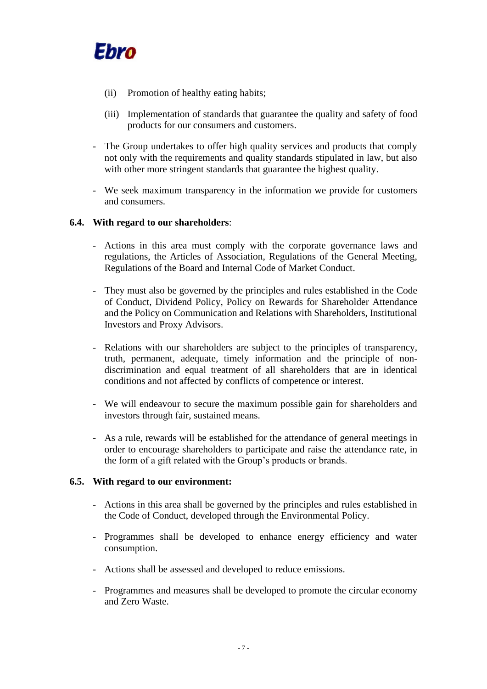

- (ii) Promotion of healthy eating habits;
- (iii) Implementation of standards that guarantee the quality and safety of food products for our consumers and customers.
- The Group undertakes to offer high quality services and products that comply not only with the requirements and quality standards stipulated in law, but also with other more stringent standards that guarantee the highest quality.
- We seek maximum transparency in the information we provide for customers and consumers.

# **6.4. With regard to our shareholders**:

- Actions in this area must comply with the corporate governance laws and regulations, the Articles of Association, Regulations of the General Meeting, Regulations of the Board and Internal Code of Market Conduct.
- They must also be governed by the principles and rules established in the Code of Conduct, Dividend Policy, Policy on Rewards for Shareholder Attendance and the Policy on Communication and Relations with Shareholders, Institutional Investors and Proxy Advisors.
- Relations with our shareholders are subject to the principles of transparency, truth, permanent, adequate, timely information and the principle of nondiscrimination and equal treatment of all shareholders that are in identical conditions and not affected by conflicts of competence or interest.
- We will endeavour to secure the maximum possible gain for shareholders and investors through fair, sustained means.
- As a rule, rewards will be established for the attendance of general meetings in order to encourage shareholders to participate and raise the attendance rate, in the form of a gift related with the Group's products or brands.

#### **6.5. With regard to our environment:**

- Actions in this area shall be governed by the principles and rules established in the Code of Conduct, developed through the Environmental Policy.
- Programmes shall be developed to enhance energy efficiency and water consumption.
- Actions shall be assessed and developed to reduce emissions.
- Programmes and measures shall be developed to promote the circular economy and Zero Waste.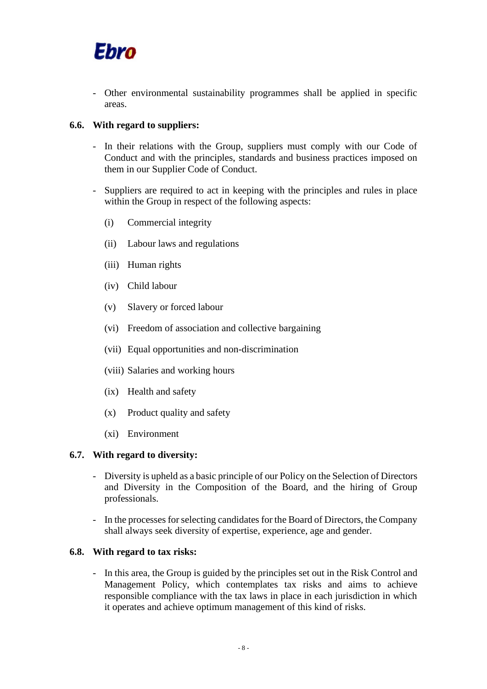

- Other environmental sustainability programmes shall be applied in specific areas.

#### **6.6. With regard to suppliers:**

- In their relations with the Group, suppliers must comply with our Code of Conduct and with the principles, standards and business practices imposed on them in our Supplier Code of Conduct.
- Suppliers are required to act in keeping with the principles and rules in place within the Group in respect of the following aspects:
	- (i) Commercial integrity
	- (ii) Labour laws and regulations
	- (iii) Human rights
	- (iv) Child labour
	- (v) Slavery or forced labour
	- (vi) Freedom of association and collective bargaining
	- (vii) Equal opportunities and non-discrimination
	- (viii) Salaries and working hours
	- (ix) Health and safety
	- (x) Product quality and safety
	- (xi) Environment

#### **6.7. With regard to diversity:**

- Diversity is upheld as a basic principle of our Policy on the Selection of Directors and Diversity in the Composition of the Board, and the hiring of Group professionals.
- In the processes for selecting candidates for the Board of Directors, the Company shall always seek diversity of expertise, experience, age and gender.

# **6.8. With regard to tax risks:**

- In this area, the Group is guided by the principles set out in the Risk Control and Management Policy, which contemplates tax risks and aims to achieve responsible compliance with the tax laws in place in each jurisdiction in which it operates and achieve optimum management of this kind of risks.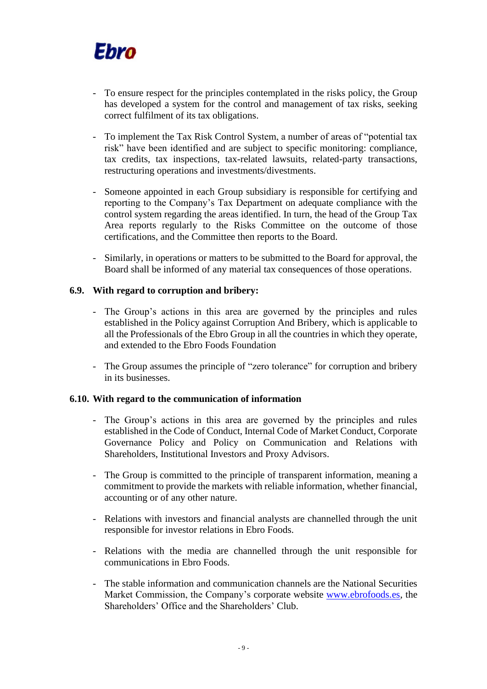# Ebro

- To ensure respect for the principles contemplated in the risks policy, the Group has developed a system for the control and management of tax risks, seeking correct fulfilment of its tax obligations.
- To implement the Tax Risk Control System, a number of areas of "potential tax risk" have been identified and are subject to specific monitoring: compliance, tax credits, tax inspections, tax-related lawsuits, related-party transactions, restructuring operations and investments/divestments.
- Someone appointed in each Group subsidiary is responsible for certifying and reporting to the Company's Tax Department on adequate compliance with the control system regarding the areas identified. In turn, the head of the Group Tax Area reports regularly to the Risks Committee on the outcome of those certifications, and the Committee then reports to the Board.
- Similarly, in operations or matters to be submitted to the Board for approval, the Board shall be informed of any material tax consequences of those operations.

# **6.9. With regard to corruption and bribery:**

- The Group's actions in this area are governed by the principles and rules established in the Policy against Corruption And Bribery, which is applicable to all the Professionals of the Ebro Group in all the countries in which they operate, and extended to the Ebro Foods Foundation
- The Group assumes the principle of "zero tolerance" for corruption and bribery in its businesses.

# **6.10. With regard to the communication of information**

- The Group's actions in this area are governed by the principles and rules established in the Code of Conduct, Internal Code of Market Conduct, Corporate Governance Policy and Policy on Communication and Relations with Shareholders, Institutional Investors and Proxy Advisors.
- The Group is committed to the principle of transparent information, meaning a commitment to provide the markets with reliable information, whether financial, accounting or of any other nature.
- Relations with investors and financial analysts are channelled through the unit responsible for investor relations in Ebro Foods.
- Relations with the media are channelled through the unit responsible for communications in Ebro Foods.
- The stable information and communication channels are the National Securities Market Commission, the Company's corporate website [www.ebrofoods.es,](http://www.ebrofoods.es/) the Shareholders' Office and the Shareholders' Club.